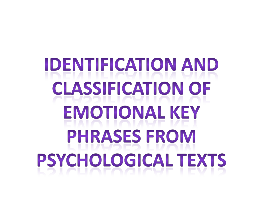# **IDENTIFICATION AND CLASSIFICATION OF EMOTIONAL KEY PHRASES FROM PSYCHOLOGICAL TEXTS**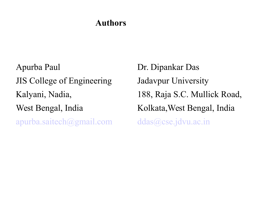#### **Authors**

Apurba Paul JIS College of Engineering Kalyani, Nadia, West Bengal, India [apurba.saitech@gmail.com](mailto:apurba.saitech@gmail.com)

Dr. Dipankar Das Jadavpur University 188, Raja S.C. Mullick Road, Kolkata,West Bengal, India [ddas@cse.jdvu.ac.in](mailto:ddas@cse.jdvu.ac.in)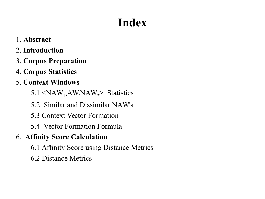# **Index**

- 1. **Abstract**
- 2. **Introduction**
- 3. **Corpus Preparation**
- 4. **Corpus Statistics**
- 5. **Context Windows**
- 5.1  $\langle NAW_1, AW, NAW_2 \rangle$  Statistics
	- 5.2 Similar and Dissimilar NAW's
	- 5.3 Context Vector Formation
	- 5.4 Vector Formation Formula
- 6. **Affinity Score Calculation**
	- 6.1 Affinity Score using Distance Metrics
	- 6.2 Distance Metrics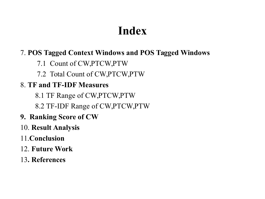# **Index**

#### 7. **POS Tagged Context Windows and POS Tagged Windows**

7.1 Count of CW,PTCW,PTW

7.2 Total Count of CW,PTCW,PTW

#### 8. **TF and TF-IDF Measures**

8.1 TF Range of CW,PTCW,PTW

8.2 TF-IDF Range of CW,PTCW,PTW

- **9. Ranking Score of CW**
- 10. **Result Analysis**
- 11.**Conclusion**
- 12. **Future Work**
- 13**. References**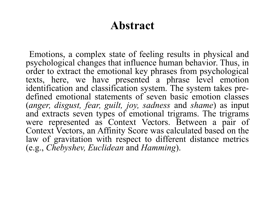#### **Abstract**

 Emotions, a complex state of feeling results in physical and psychological changes that influence human behavior. Thus, in order to extract the emotional key phrases from psychological texts, here, we have presented a phrase level emotion identification and classification system. The system takes predefined emotional statements of seven basic emotion classes (*anger, disgust, fear, guilt, joy, sadness* and *shame*) as input and extracts seven types of emotional trigrams. The trigrams were represented as Context Vectors. Between a pair of Context Vectors, an Affinity Score was calculated based on the law of gravitation with respect to different distance metrics (e.g., *Chebyshev, Euclidean* and *Hamming*).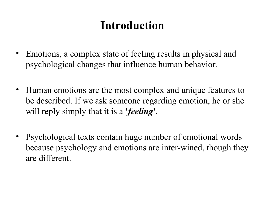# **Introduction**

- Emotions, a complex state of feeling results in physical and psychological changes that influence human behavior.
- Human emotions are the most complex and unique features to be described. If we ask someone regarding emotion, he or she will reply simply that it is a **'***feeling***'**.
- Psychological texts contain huge number of emotional words because psychology and emotions are inter-wined, though they are different.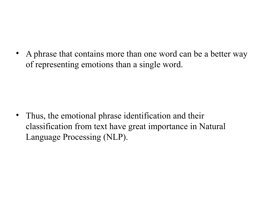• A phrase that contains more than one word can be a better way of representing emotions than a single word.

• Thus, the emotional phrase identification and their classification from text have great importance in Natural Language Processing (NLP).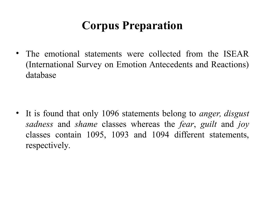# **Corpus Preparation**

• The emotional statements were collected from the ISEAR (International Survey on Emotion Antecedents and Reactions) database

• It is found that only 1096 statements belong to *anger, disgust sadness* and *shame* classes whereas the *fear*, *guilt* and *joy* classes contain 1095, 1093 and 1094 different statements, respectively.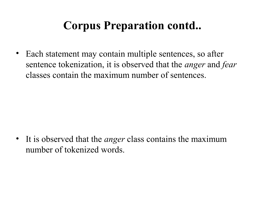# **Corpus Preparation contd..**

• Each statement may contain multiple sentences, so after sentence tokenization, it is observed that the *anger* and *fear* classes contain the maximum number of sentences.

• It is observed that the *anger* class contains the maximum number of tokenized words.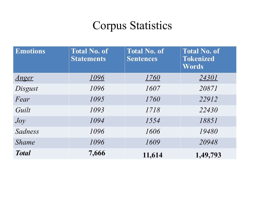# Corpus Statistics

| <b>Emotions</b> | <b>Total No. of</b><br><b>Statements</b> | <b>Total No. of</b><br><b>Sentences</b> | <b>Total No. of</b><br><b>Tokenized</b><br>Words |
|-----------------|------------------------------------------|-----------------------------------------|--------------------------------------------------|
| <u>Anger</u>    | 1096                                     | <u>1760</u>                             | <u>24301</u>                                     |
| Disgust         | 1096                                     | 1607                                    | 20871                                            |
| Fear            | 1095                                     | 1760                                    | 22912                                            |
| Guilt           | 1093                                     | 1718                                    | 22430                                            |
| Joy             | 1094                                     | 1554                                    | 18851                                            |
| Sadness         | 1096                                     | 1606                                    | 19480                                            |
| <i>Shame</i>    | 1096                                     | 1609                                    | 20948                                            |
| <b>Total</b>    | 7,666                                    | 11,614                                  | 1,49,793                                         |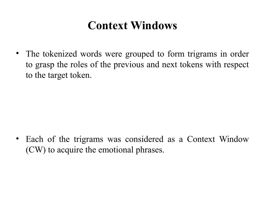# **Context Windows**

• The tokenized words were grouped to form trigrams in order to grasp the roles of the previous and next tokens with respect to the target token.

• Each of the trigrams was considered as a Context Window (CW) to acquire the emotional phrases.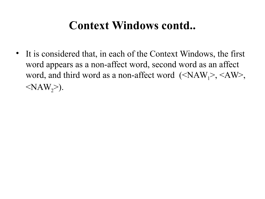## **Context Windows contd..**

• It is considered that, in each of the Context Windows, the first word appears as a non-affect word, second word as an affect word, and third word as a non-affect word  $(\langle NAW_1 \rangle, \langle AW \rangle,$  $\langle NAW_2\rangle$ .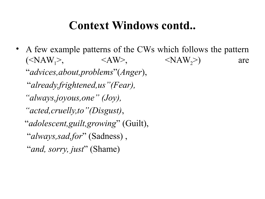#### **Context Windows contd..**

• A few example patterns of the CWs which follows the pattern  $(\langle NAW_1 \rangle, \langle AW \rangle, \langle MW_2 \rangle)$  are "*advices,about,problems*"(*Anger*), "*already,frightened,us"(Fear), "always,joyous,one" (Joy), "acted,cruelly,to"(Disgust)*, "*adolescent,guilt,growing*" (Guilt), "*always,sad,for*" (Sadness) , "*and, sorry, just*" (Shame)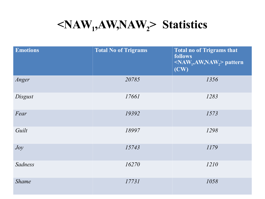# **<NAW<sup>1</sup> ,AW,NAW2> Statistics**

| <b>Emotions</b> | <b>Total No of Trigrams</b> | <b>Total no of Trigrams that</b><br>follows<br>$\langle NAW_1, AW_2NAW_2 \rangle$ pattern<br>(CW) |
|-----------------|-----------------------------|---------------------------------------------------------------------------------------------------|
| Anger           | 20785                       | 1356                                                                                              |
| Disgust         | 17661                       | 1283                                                                                              |
| Fear            | 19392                       | 1573                                                                                              |
| Guilt           | 18997                       | 1298                                                                                              |
| Joy             | 15743                       | 1179                                                                                              |
| Sadness         | 16270                       | 1210                                                                                              |
| <b>Shame</b>    | 17731                       | 1058                                                                                              |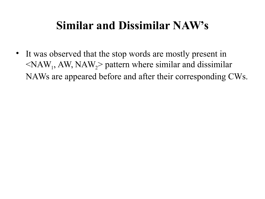# **Similar and Dissimilar NAW's**

• It was observed that the stop words are mostly present in  $\langle NAW_1, AW, NAW_2 \rangle$  pattern where similar and dissimilar NAWs are appeared before and after their corresponding CWs.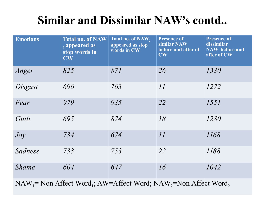# **Similar and Dissimilar NAW's contd..**

| <b>Emotions</b>                                                                                                                                                                                                                                                                                                                                       | <b>Total no. of NAW</b><br>$\overline{a}$ appeared as<br>stop words in<br>$\mathbf{CW}$ | Total no. of NAW,<br>appeared as stop<br>words in CW | <b>Presence of</b><br>similar NAW<br>before and after of<br>$\mathbf{CW}$ | <b>Presence of</b><br>dissimilar<br><b>NAW</b> before and<br>after of CW |
|-------------------------------------------------------------------------------------------------------------------------------------------------------------------------------------------------------------------------------------------------------------------------------------------------------------------------------------------------------|-----------------------------------------------------------------------------------------|------------------------------------------------------|---------------------------------------------------------------------------|--------------------------------------------------------------------------|
| Anger                                                                                                                                                                                                                                                                                                                                                 | 825                                                                                     | 871                                                  | 26                                                                        | 1330                                                                     |
| Disgust                                                                                                                                                                                                                                                                                                                                               | 696                                                                                     | 763                                                  | 11                                                                        | 1272                                                                     |
| Fear                                                                                                                                                                                                                                                                                                                                                  | 979                                                                                     | 935                                                  | 22                                                                        | 1551                                                                     |
| Guilt                                                                                                                                                                                                                                                                                                                                                 | 695                                                                                     | 874                                                  | 18                                                                        | 1280                                                                     |
| Joy                                                                                                                                                                                                                                                                                                                                                   | 734                                                                                     | 674                                                  | 11                                                                        | 1168                                                                     |
| Sadness                                                                                                                                                                                                                                                                                                                                               | 733                                                                                     | 753                                                  | 22                                                                        | 1188                                                                     |
| <b>Shame</b>                                                                                                                                                                                                                                                                                                                                          | 604                                                                                     | 647                                                  | 16                                                                        | 1042                                                                     |
| $\mathbf{M} \Lambda \mathbf{W}$ $\mathbf{M}_{\text{tot}}$ $\Lambda \mathbf{C}_{\text{tot}}$ $\mathbf{W}_{\text{tot}}$ $\mathbf{M}_{\text{tot}}$ $\Lambda \mathbf{W}_{\text{tot}}$ $\Lambda \mathbf{C}_{\text{tot}}$ $\mathbf{W}_{\text{tot}}$ $\mathbf{M}_{\text{tot}}$ $\mathbf{M}_{\text{tot}}$ $\mathbf{M}_{\text{tot}}$ $\mathbf{M}_{\text{tot}}$ |                                                                                         |                                                      |                                                                           |                                                                          |

 $NAW_1 = Non$  Affect Word<sub>1</sub>; AW=Affect Word;  $NAW_2 = Non$  Affect Word<sub>2</sub>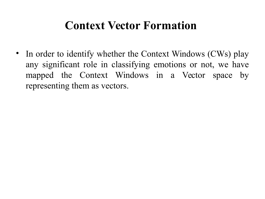#### **Context Vector Formation**

• In order to identify whether the Context Windows (CWs) play any significant role in classifying emotions or not, we have mapped the Context Windows in a Vector space by representing them as vectors.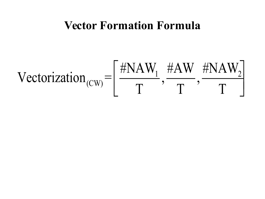#### **Vector Formation Formula**

$$
\text{Vectorization}_{(CW)} = \left[ \frac{\# \text{NAW}_1}{T}, \frac{\# \text{AW}}{T}, \frac{\# \text{NAW}_2}{T} \right]
$$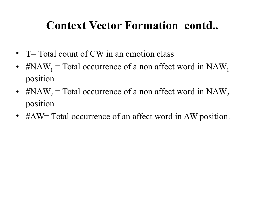# **Context Vector Formation contd..**

- T= Total count of CW in an emotion class
- #NAW<sub>1</sub> = Total occurrence of a non affect word in NAW<sub>1</sub> position
- #NAW<sub>2</sub> = Total occurrence of a non affect word in NAW<sub>2</sub> position
- #AW= Total occurrence of an affect word in AW position.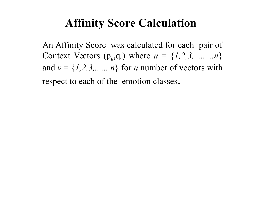## **Affinity Score Calculation**

An Affinity Score was calculated for each pair of Context Vectors  $(p_u, q_v)$  where  $u = \{1, 2, 3, \ldots, n\}$ and  $v = \{1, 2, 3, \dots, n\}$  for *n* number of vectors with respect to each of the emotion classes.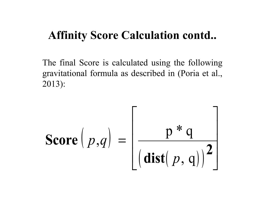#### **Affinity Score Calculation contd..**

The final Score is calculated using the following gravitational formula as described in (Poria et al., 2013):

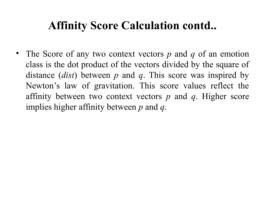# **Affinity Score Calculation contd..**

• The Score of any two context vectors *p* and *q* of an emotion class is the dot product of the vectors divided by the square of distance (*dist*) between *p* and *q*. This score was inspired by Newton's law of gravitation. This score values reflect the affinity between two context vectors *p* and *q*. Higher score implies higher affinity between *p* and *q*.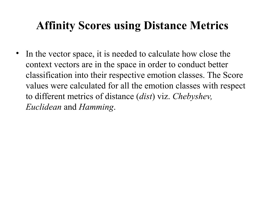# **Affinity Scores using Distance Metrics**

• In the vector space, it is needed to calculate how close the context vectors are in the space in order to conduct better classification into their respective emotion classes. The Score values were calculated for all the emotion classes with respect to different metrics of distance (*dist*) viz. *Chebyshev, Euclidean* and *Hamming*.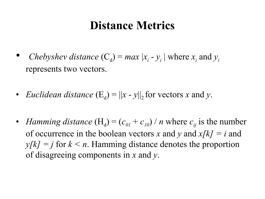#### **Distance Metrics**

- *Chebyshev distance*  $(C_d) = max |x_i y_i|$  where  $x_i$  and  $y_i$ represents two vectors.
- *Euclidean distance*  $(E_d) = ||x y||_2$  for vectors *x* and *y*.
- *Hamming distance*  $(H_d) = (c_{0l} + c_{10}) / n$  where  $c_{ij}$  is the number of occurrence in the boolean vectors *x* and *y* and *x[k] = i* and  $y[k] = j$  for  $k \le n$ . Hamming distance denotes the proportion of disagreeing components in *x* and *y*.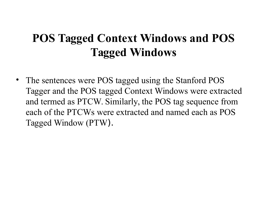# **POS Tagged Context Windows and POS Tagged Windows**

• The sentences were POS tagged using the Stanford POS Tagger and the POS tagged Context Windows were extracted and termed as PTCW. Similarly, the POS tag sequence from each of the PTCWs were extracted and named each as POS Tagged Window (PTW).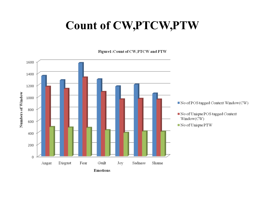# **Count of CW,PTCW,PTW**

Figure1: Count of CW, PTCW and PTW

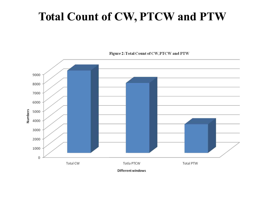# **Total Count of CW, PTCW and PTW**



Figure 2: Total Count of CW, PTCW and PTW

**Different windows**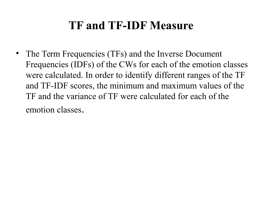# **TF and TF-IDF Measure**

• The Term Frequencies (TFs) and the Inverse Document Frequencies (IDFs) of the CWs for each of the emotion classes were calculated. In order to identify different ranges of the TF and TF-IDF scores, the minimum and maximum values of the TF and the variance of TF were calculated for each of the emotion classes.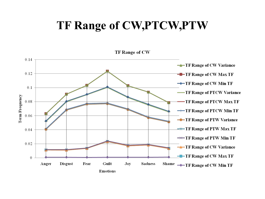## **TF Range of CW,PTCW,PTW**

TF Range of CW

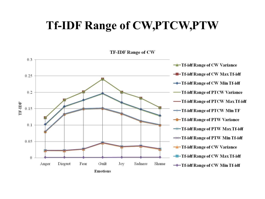## **Tf-IDF Range of CW,PTCW,PTW**

**TF-IDF Range of CW** 

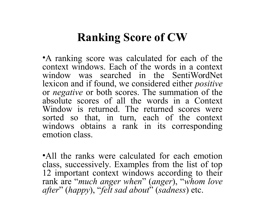#### **Ranking Score of CW**

•A ranking score was calculated for each of the context windows. Each of the words in a context window was searched in the SentiWordNet lexicon and if found, we considered either *positive* or *negative* or both scores. The summation of the absolute scores of all the words in a Context Window is returned. The returned scores were sorted so that, in turn, each of the context windows obtains a rank in its corresponding emotion class.

•All the ranks were calculated for each emotion class, successively. Examples from the list of top 12 important context windows according to their rank are "*much anger when*" (*anger*), "*whom love after*" (*happy*), "*felt sad about*" (*sadness*) etc.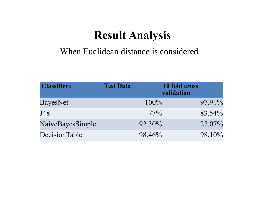## **Result Analysis**

#### When Euclidean distance is considered

| <b>Classifiers</b> | <b>Test Data</b> | 10 fold cross<br>validation |
|--------------------|------------------|-----------------------------|
| <b>BayesNet</b>    | $100\%$          | 97.91%                      |
| J48                | $77\%$           | 83.54%                      |
| NaiveBayesSimple   | 92.30%           | 27.07%                      |
| DecisionTable      | 98.46%           | 98.10%                      |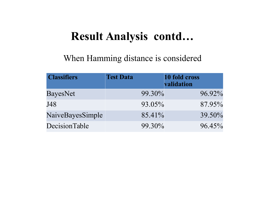#### **Result Analysis contd…**

#### When Hamming distance is considered

| <b>Classifiers</b> | <b>Test Data</b> | 10 fold cross<br>validation |
|--------------------|------------------|-----------------------------|
| <b>BayesNet</b>    | $99.30\%$        | 96.92%                      |
| J48                | 93.05%           | 87.95%                      |
| NaiveBayesSimple   | 85.41%           | 39.50%                      |
| DecisionTable      | 99.30%           | $96.45\%$                   |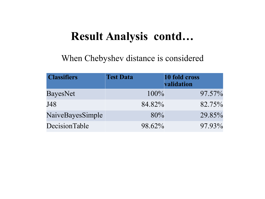#### **Result Analysis contd…**

When Chebyshev distance is considered

| <b>Classifiers</b> | <b>Test Data</b> | 10 fold cross<br>validation |
|--------------------|------------------|-----------------------------|
| <b>BayesNet</b>    | $100\%$          | 97.57%                      |
| J48                | 84.82%           | 82.75%                      |
| NaiveBayesSimple   | 80%              | 29.85%                      |
| DecisionTable      | 98.62%           | 97.93%                      |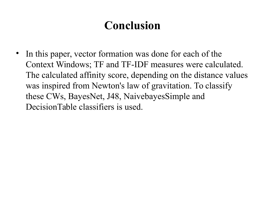# **Conclusion**

In this paper, vector formation was done for each of the Context Windows; TF and TF-IDF measures were calculated. The calculated affinity score, depending on the distance values was inspired from Newton's law of gravitation. To classify these CWs, BayesNet, J48, NaivebayesSimple and DecisionTable classifiers is used.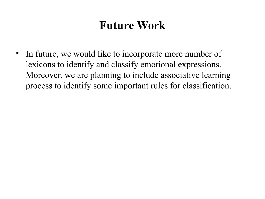# **Future Work**

• In future, we would like to incorporate more number of lexicons to identify and classify emotional expressions. Moreover, we are planning to include associative learning process to identify some important rules for classification.